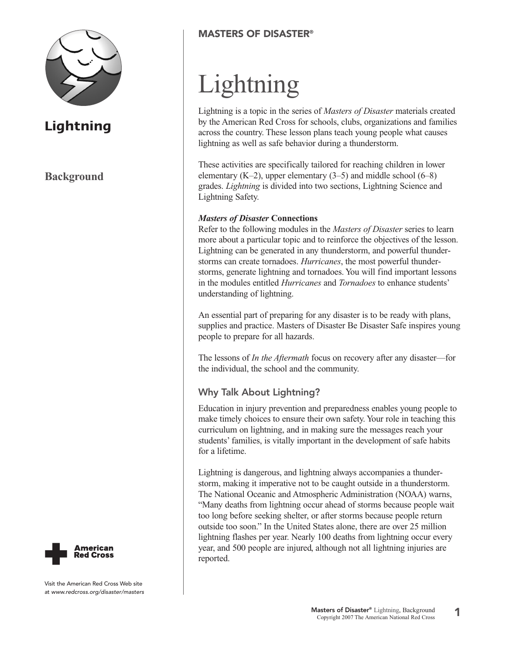

# **Background**



Visit the American Red Cross Web site at www.redcross.org/disaster/masters

## **MASTERS OF DISASTER®**

# Lightning

Lightning is a topic in the series of *Masters of Disaster* materials created by the American Red Cross for schools, clubs, organizations and families across the country. These lesson plans teach young people what causes lightning as well as safe behavior during a thunderstorm.

These activities are specifically tailored for reaching children in lower elementary  $(K-2)$ , upper elementary  $(3-5)$  and middle school  $(6-8)$ grades. *Lightning* is divided into two sections, Lightning Science and Lightning Safety.

#### *Masters of Disaster* **Connections**

Refer to the following modules in the *Masters of Disaster* series to learn more about a particular topic and to reinforce the objectives of the lesson. Lightning can be generated in any thunderstorm, and powerful thunderstorms can create tornadoes. *Hurricanes*, the most powerful thunderstorms, generate lightning and tornadoes. You will find important lessons in the modules entitled *Hurricanes* and *Tornadoes* to enhance students' understanding of lightning.

An essential part of preparing for any disaster is to be ready with plans, supplies and practice. Masters of Disaster Be Disaster Safe inspires young people to prepare for all hazards.

The lessons of *In the Aftermath* focus on recovery after any disaster—for the individual, the school and the community.

#### **Why Talk About Lightning?**

Education in injury prevention and preparedness enables young people to make timely choices to ensure their own safety. Your role in teaching this curriculum on lightning, and in making sure the messages reach your students' families, is vitally important in the development of safe habits for a lifetime.

Lightning is dangerous, and lightning always accompanies a thunderstorm, making it imperative not to be caught outside in a thunderstorm. The National Oceanic and Atmospheric Administration (NOAA) warns, "Many deaths from lightning occur ahead of storms because people wait too long before seeking shelter, or after storms because people return outside too soon." In the United States alone, there are over 25 million lightning flashes per year. Nearly 100 deaths from lightning occur every year, and 500 people are injured, although not all lightning injuries are reported.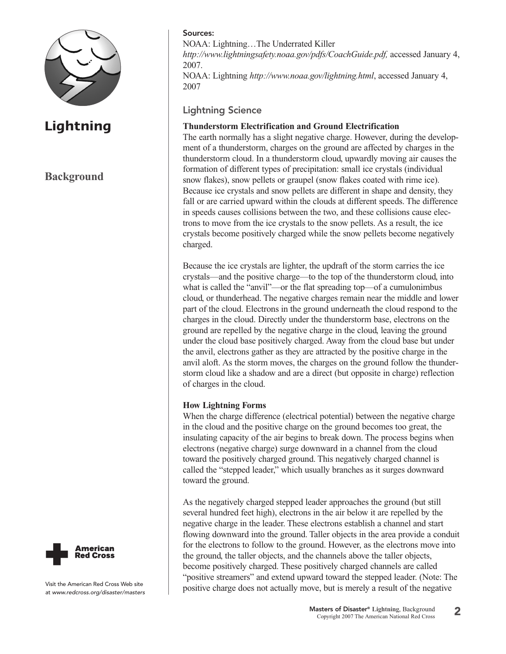

## **Background**



NOAA: Lightning…The Underrated Killer *http://www.lightningsafety.noaa.gov/pdfs/CoachGuide.pdf,* accessed January 4, 2007. NOAA: Lightning *http://www.noaa.gov/lightning.html*, accessed January 4, 2007

**Lightning Science**

#### **Thunderstorm Electrification and Ground Electrification**

The earth normally has a slight negative charge. However, during the development of a thunderstorm, charges on the ground are affected by charges in the thunderstorm cloud. In a thunderstorm cloud, upwardly moving air causes the formation of different types of precipitation: small ice crystals (individual snow flakes), snow pellets or graupel (snow flakes coated with rime ice). Because ice crystals and snow pellets are different in shape and density, they fall or are carried upward within the clouds at different speeds. The difference in speeds causes collisions between the two, and these collisions cause electrons to move from the ice crystals to the snow pellets. As a result, the ice crystals become positively charged while the snow pellets become negatively charged.

Because the ice crystals are lighter, the updraft of the storm carries the ice crystals—and the positive charge—to the top of the thunderstorm cloud, into what is called the "anvil"—or the flat spreading top—of a cumulonimbus cloud, or thunderhead. The negative charges remain near the middle and lower part of the cloud. Electrons in the ground underneath the cloud respond to the charges in the cloud. Directly under the thunderstorm base, electrons on the ground are repelled by the negative charge in the cloud, leaving the ground under the cloud base positively charged. Away from the cloud base but under the anvil, electrons gather as they are attracted by the positive charge in the anvil aloft. As the storm moves, the charges on the ground follow the thunderstorm cloud like a shadow and are a direct (but opposite in charge) reflection of charges in the cloud.

#### **How Lightning Forms**

When the charge difference (electrical potential) between the negative charge in the cloud and the positive charge on the ground becomes too great, the insulating capacity of the air begins to break down. The process begins when electrons (negative charge) surge downward in a channel from the cloud toward the positively charged ground. This negatively charged channel is called the "stepped leader," which usually branches as it surges downward toward the ground.

As the negatively charged stepped leader approaches the ground (but still several hundred feet high), electrons in the air below it are repelled by the negative charge in the leader. These electrons establish a channel and start flowing downward into the ground. Taller objects in the area provide a conduit for the electrons to follow to the ground. However, as the electrons move into the ground, the taller objects, and the channels above the taller objects, become positively charged. These positively charged channels are called "positive streamers" and extend upward toward the stepped leader. (Note: The positive charge does not actually move, but is merely a result of the negative

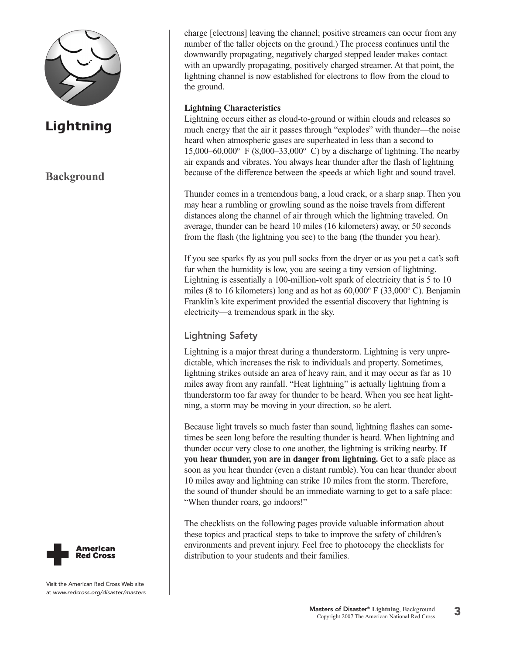

# **Background**

charge [electrons] leaving the channel; positive streamers can occur from any number of the taller objects on the ground.) The process continues until the downwardly propagating, negatively charged stepped leader makes contact with an upwardly propagating, positively charged streamer. At that point, the lightning channel is now established for electrons to flow from the cloud to the ground.

#### **Lightning Characteristics**

Lightning occurs either as cloud-to-ground or within clouds and releases so much energy that the air it passes through "explodes" with thunder—the noise heard when atmospheric gases are superheated in less than a second to 15,000–60,000° F (8,000–33,000° C) by a discharge of lightning. The nearby air expands and vibrates. You always hear thunder after the flash of lightning because of the difference between the speeds at which light and sound travel.

Thunder comes in a tremendous bang, a loud crack, or a sharp snap. Then you may hear a rumbling or growling sound as the noise travels from different distances along the channel of air through which the lightning traveled. On average, thunder can be heard 10 miles (16 kilometers) away, or 50 seconds from the flash (the lightning you see) to the bang (the thunder you hear).

If you see sparks fly as you pull socks from the dryer or as you pet a cat's soft fur when the humidity is low, you are seeing a tiny version of lightning. Lightning is essentially a 100-million-volt spark of electricity that is 5 to 10 miles (8 to 16 kilometers) long and as hot as  $60,000^{\circ}$  F (33,000°C). Benjamin Franklin's kite experiment provided the essential discovery that lightning is electricity—a tremendous spark in the sky.

## **Lightning Safety**

Lightning is a major threat during a thunderstorm. Lightning is very unpredictable, which increases the risk to individuals and property. Sometimes, lightning strikes outside an area of heavy rain, and it may occur as far as 10 miles away from any rainfall. "Heat lightning" is actually lightning from a thunderstorm too far away for thunder to be heard. When you see heat lightning, a storm may be moving in your direction, so be alert.

Because light travels so much faster than sound, lightning flashes can sometimes be seen long before the resulting thunder is heard. When lightning and thunder occur very close to one another, the lightning is striking nearby. **If you hear thunder, you are in danger from lightning.** Get to a safe place as soon as you hear thunder (even a distant rumble). You can hear thunder about 10 miles away and lightning can strike 10 miles from the storm. Therefore, the sound of thunder should be an immediate warning to get to a safe place: "When thunder roars, go indoors!"

The checklists on the following pages provide valuable information about these topics and practical steps to take to improve the safety of children's environments and prevent injury. Feel free to photocopy the checklists for distribution to your students and their families.

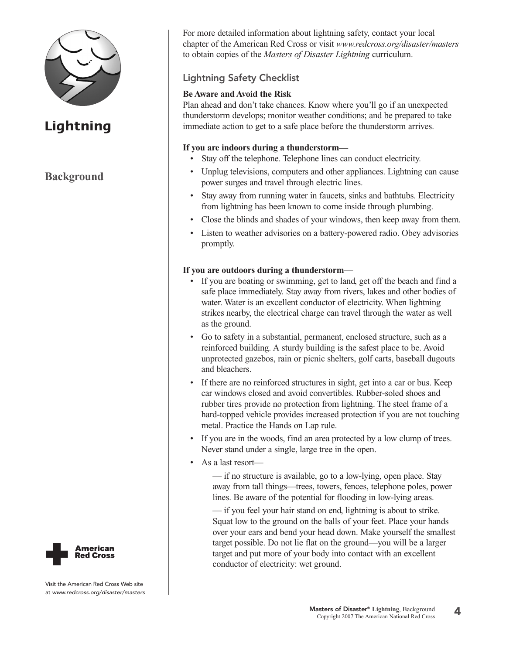

## **Background**

For more detailed information about lightning safety, contact your local chapter of the American Red Cross or visit *www.redcross.org/disaster/masters* to obtain copies of the *Masters of Disaster Lightning* curriculum.

## **Lightning Safety Checklist**

#### **Be Aware and Avoid the Risk**

Plan ahead and don't take chances. Know where you'll go if an unexpected thunderstorm develops; monitor weather conditions; and be prepared to take immediate action to get to a safe place before the thunderstorm arrives.

#### **If you are indoors during a thunderstorm—**

- Stay off the telephone. Telephone lines can conduct electricity.
- Unplug televisions, computers and other appliances. Lightning can cause power surges and travel through electric lines.
- Stay away from running water in faucets, sinks and bathtubs. Electricity from lightning has been known to come inside through plumbing.
- Close the blinds and shades of your windows, then keep away from them.
- Listen to weather advisories on a battery-powered radio. Obey advisories promptly.

#### **If you are outdoors during a thunderstorm—**

- If you are boating or swimming, get to land, get off the beach and find a safe place immediately. Stay away from rivers, lakes and other bodies of water. Water is an excellent conductor of electricity. When lightning strikes nearby, the electrical charge can travel through the water as well as the ground.
- Go to safety in a substantial, permanent, enclosed structure, such as a reinforced building. A sturdy building is the safest place to be. Avoid unprotected gazebos, rain or picnic shelters, golf carts, baseball dugouts and bleachers.
- If there are no reinforced structures in sight, get into a car or bus. Keep car windows closed and avoid convertibles. Rubber-soled shoes and rubber tires provide no protection from lightning. The steel frame of a hard-topped vehicle provides increased protection if you are not touching metal. Practice the Hands on Lap rule.
- If you are in the woods, find an area protected by a low clump of trees. Never stand under a single, large tree in the open.
- As a last resort—

— if no structure is available, go to a low-lying, open place. Stay away from tall things—trees, towers, fences, telephone poles, power lines. Be aware of the potential for flooding in low-lying areas.

— if you feel your hair stand on end, lightning is about to strike. Squat low to the ground on the balls of your feet. Place your hands over your ears and bend your head down. Make yourself the smallest target possible. Do not lie flat on the ground—you will be a larger target and put more of your body into contact with an excellent conductor of electricity: wet ground.